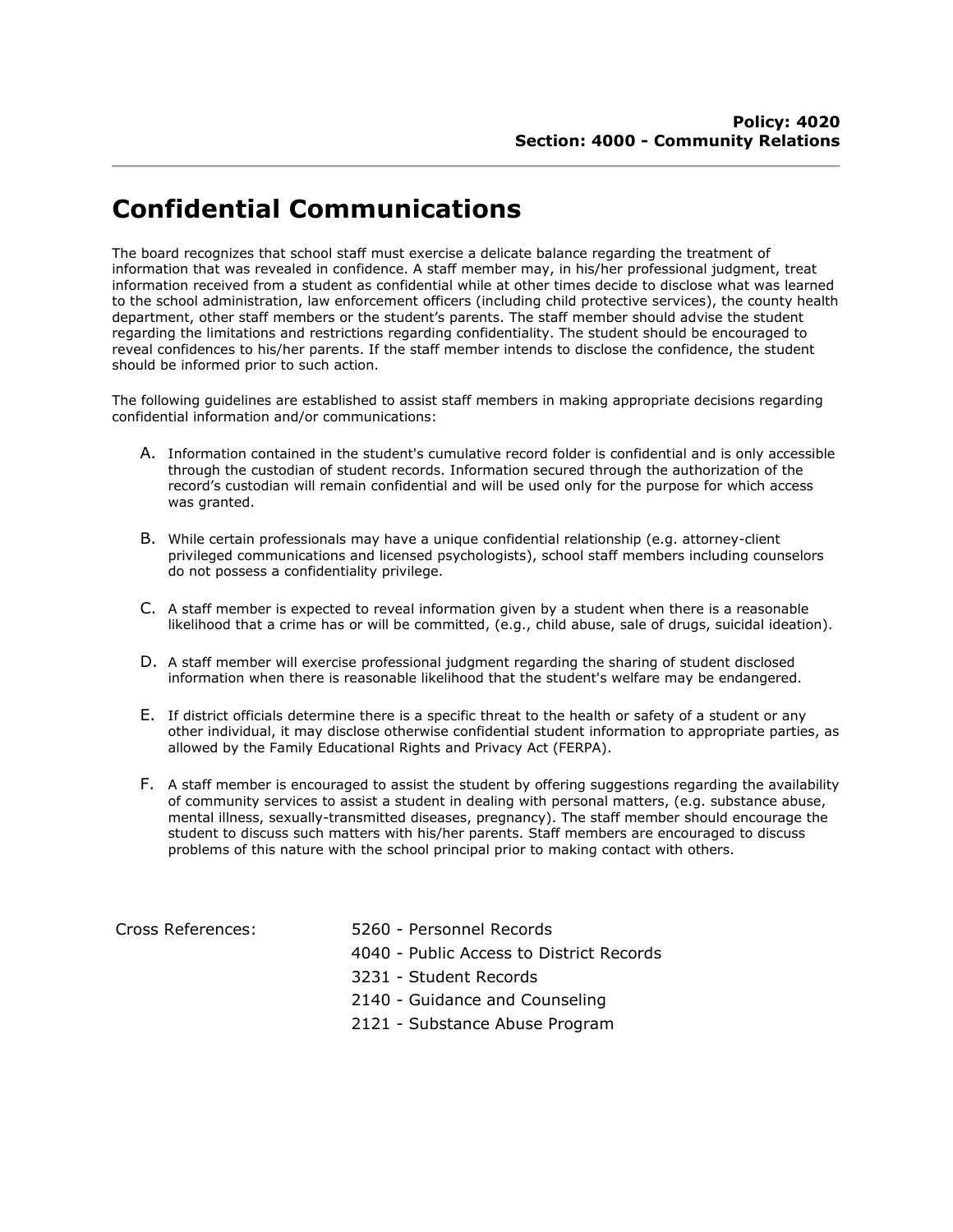## **Confidential Communications**

The board recognizes that school staff must exercise a delicate balance regarding the treatment of information that was revealed in confidence. A staff member may, in his/her professional judgment, treat information received from a student as confidential while at other times decide to disclose what was learned to the school administration, law enforcement officers (including child protective services), the county health department, other staff members or the student's parents. The staff member should advise the student regarding the limitations and restrictions regarding confidentiality. The student should be encouraged to reveal confidences to his/her parents. If the staff member intends to disclose the confidence, the student should be informed prior to such action.

The following guidelines are established to assist staff members in making appropriate decisions regarding confidential information and/or communications:

- A. Information contained in the student's cumulative record folder is confidential and is only accessible through the custodian of student records. Information secured through the authorization of the record's custodian will remain confidential and will be used only for the purpose for which access was granted.
- B. While certain professionals may have a unique confidential relationship (e.g. attorney-client privileged communications and licensed psychologists), school staff members including counselors do not possess a confidentiality privilege.
- C. A staff member is expected to reveal information given by a student when there is a reasonable likelihood that a crime has or will be committed, (e.g., child abuse, sale of drugs, suicidal ideation).
- D. A staff member will exercise professional judgment regarding the sharing of student disclosed information when there is reasonable likelihood that the student's welfare may be endangered.
- E. If district officials determine there is a specific threat to the health or safety of a student or any other individual, it may disclose otherwise confidential student information to appropriate parties, as allowed by the Family Educational Rights and Privacy Act (FERPA).
- F. A staff member is encouraged to assist the student by offering suggestions regarding the availability of community services to assist a student in dealing with personal matters, (e.g. substance abuse, mental illness, sexually-transmitted diseases, pregnancy). The staff member should encourage the student to discuss such matters with his/her parents. Staff members are encouraged to discuss problems of this nature with the school principal prior to making contact with others.

| Cross References: | 5260 - Personnel Records                 |
|-------------------|------------------------------------------|
|                   | 4040 - Public Access to District Records |
|                   | 3231 - Student Records                   |
|                   | 2140 - Guidance and Counseling           |
|                   | 2121 - Substance Abuse Program           |